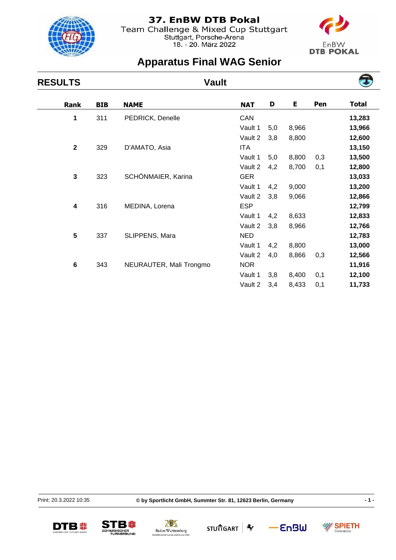

Team Challenge & Mixed Cup Stuttgart<br>Stuttgart, Porsche-Arena<br>18. - 20. März 2022



 $\overline{\phantom{0}}$ 

# **Apparatus Final WAG Senior**

| <b>RESULTS</b>          | <b>Vault</b> |                         |            |     |       |     |              |
|-------------------------|--------------|-------------------------|------------|-----|-------|-----|--------------|
| <b>Rank</b>             | <b>BIB</b>   | <b>NAME</b>             | <b>NAT</b> | D   | E     | Pen | <b>Total</b> |
| 1                       | 311          | PEDRICK, Denelle        | CAN        |     |       |     | 13,283       |
|                         |              |                         | Vault 1    | 5,0 | 8,966 |     | 13,966       |
|                         |              |                         | Vault 2    | 3,8 | 8,800 |     | 12,600       |
| $\mathbf{2}$            | 329          | D'AMATO, Asia           | <b>ITA</b> |     |       |     | 13,150       |
|                         |              |                         | Vault 1    | 5,0 | 8,800 | 0,3 | 13,500       |
|                         |              |                         | Vault 2    | 4,2 | 8,700 | 0,1 | 12,800       |
| $\mathbf{3}$            | 323          | SCHÖNMAIER, Karina      | <b>GER</b> |     |       |     | 13,033       |
|                         |              |                         | Vault 1    | 4,2 | 9,000 |     | 13,200       |
|                         |              |                         | Vault 2    | 3,8 | 9,066 |     | 12,866       |
| $\overline{\mathbf{4}}$ | 316          | MEDINA, Lorena          | <b>ESP</b> |     |       |     | 12,799       |
|                         |              |                         | Vault 1    | 4,2 | 8,633 |     | 12,833       |
|                         |              |                         | Vault 2    | 3,8 | 8,966 |     | 12,766       |
| 5                       | 337          | SLIPPENS, Mara          | <b>NED</b> |     |       |     | 12,783       |
|                         |              |                         | Vault 1    | 4,2 | 8,800 |     | 13,000       |
|                         |              |                         | Vault 2    | 4,0 | 8,866 | 0,3 | 12,566       |
| $\bf 6$                 | 343          | NEURAUTER, Mali Trongmo | <b>NOR</b> |     |       |     | 11,916       |
|                         |              |                         | Vault 1    | 3,8 | 8,400 | 0,1 | 12,100       |
|                         |              |                         | Vault 2    | 3,4 | 8,433 | 0,1 | 11,733       |

Print: 20.3.2022 10:35

**© by Sportlicht GmbH, Summter Str. 81, 12623 Berlin, Germany - 1 -**











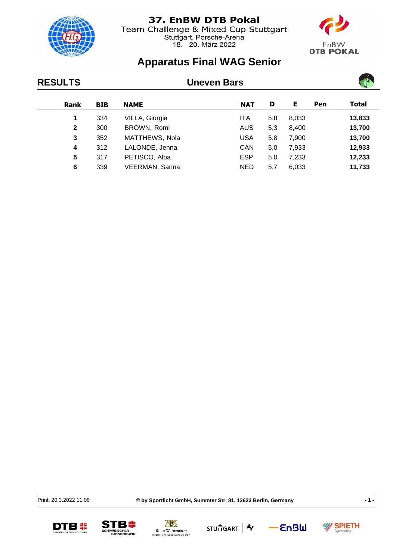

Team Challenge & Mixed Cup Stuttgart<br>Stuttgart, Porsche-Arena<br>18. - 20. März 2022



 $\overline{\phantom{a}}$ 

## **Apparatus Final WAG Senior**

| <b>RESULTS</b> | <b>Uneven Bars</b> |                |            |     |       |     |        |  |
|----------------|--------------------|----------------|------------|-----|-------|-----|--------|--|
| Rank           | <b>BIB</b>         | <b>NAME</b>    | <b>NAT</b> | D   | Е     | Pen | Total  |  |
| 1              | 334                | VILLA, Giorgia | ITA        | 5,8 | 8,033 |     | 13,833 |  |
| $\mathbf{2}$   | 300                | BROWN, Romi    | <b>AUS</b> | 5,3 | 8,400 |     | 13,700 |  |
| 3              | 352                | MATTHEWS, Nola | <b>USA</b> | 5,8 | 7,900 |     | 13,700 |  |
| 4              | 312                | LALONDE, Jenna | <b>CAN</b> | 5,0 | 7,933 |     | 12,933 |  |
| 5              | 317                | PETISCO, Alba  | <b>ESP</b> | 5,0 | 7,233 |     | 12,233 |  |
| 6              | 339                | VEERMAN, Sanna | <b>NED</b> | 5,7 | 6,033 |     | 11,733 |  |

Print: 20.3.2022 11:06

**© by Sportlicht GmbH, Summter Str. 81, 12623 Berlin, Germany - 1 -**











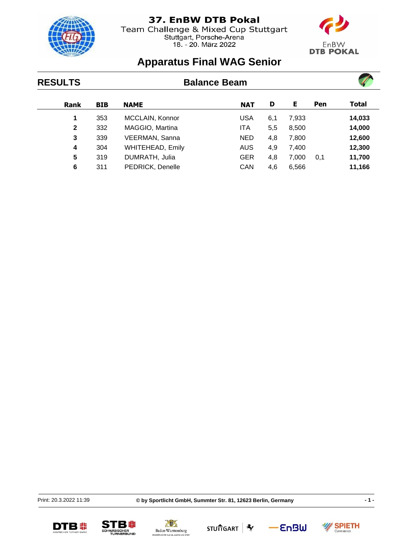

Team Challenge & Mixed Cup Stuttgart Stuttgart, Porsche-Arena<br>18. - 20. März 2022



## **Apparatus Final WAG Senior**

### **RESULTS Balance Beam Rank BIB NAME NAT D E Pen Total 1** 353 MCCLAIN, Konnor USA 6,1 7,933 **14,033 2** 332 MAGGIO, Martina ITA 5,5 8,500 **14,000 3** 339 VEERMAN, Sanna NED 4,8 7,800 **12,600 4** 304 WHITEHEAD, Emily AUS 4,9 7,400 **12,300 5** 319 DUMRATH, Julia GER 4,8 7,000 0,1 **11,700 6** 311 PEDRICK, Denelle CAN 4,6 6,566 **11,166**

Print: 20.3.2022 11:39

**© by Sportlicht GmbH, Summter Str. 81, 12623 Berlin, Germany - 1 -**

**SPIETH** 

Gymnastics